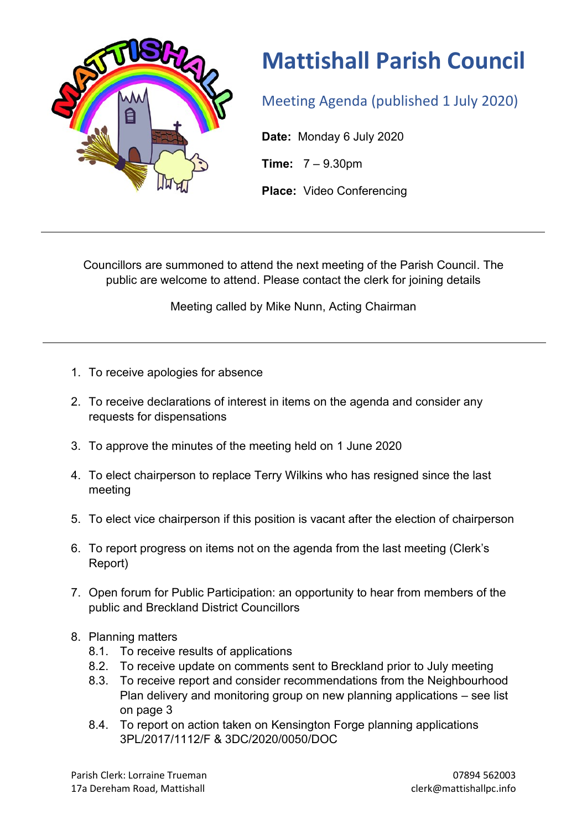

## **Mattishall Parish Council**

Meeting Agenda (published 1 July 2020)

**Date:** Monday 6 July 2020

**Time:** 7 – 9.30pm

**Place:** Video Conferencing

Councillors are summoned to attend the next meeting of the Parish Council. The public are welcome to attend. Please contact the clerk for joining details

Meeting called by Mike Nunn, Acting Chairman

- 1. To receive apologies for absence
- 2. To receive declarations of interest in items on the agenda and consider any requests for dispensations
- 3. To approve the minutes of the meeting held on 1 June 2020
- 4. To elect chairperson to replace Terry Wilkins who has resigned since the last meeting
- 5. To elect vice chairperson if this position is vacant after the election of chairperson
- 6. To report progress on items not on the agenda from the last meeting (Clerk's Report)
- 7. Open forum for Public Participation: an opportunity to hear from members of the public and Breckland District Councillors
- 8. Planning matters
	- 8.1. To receive results of applications
	- 8.2. To receive update on comments sent to Breckland prior to July meeting
	- 8.3. To receive report and consider recommendations from the Neighbourhood Plan delivery and monitoring group on new planning applications – see list on page 3
	- 8.4. To report on action taken on Kensington Forge planning applications 3PL/2017/1112/F & 3DC/2020/0050/DOC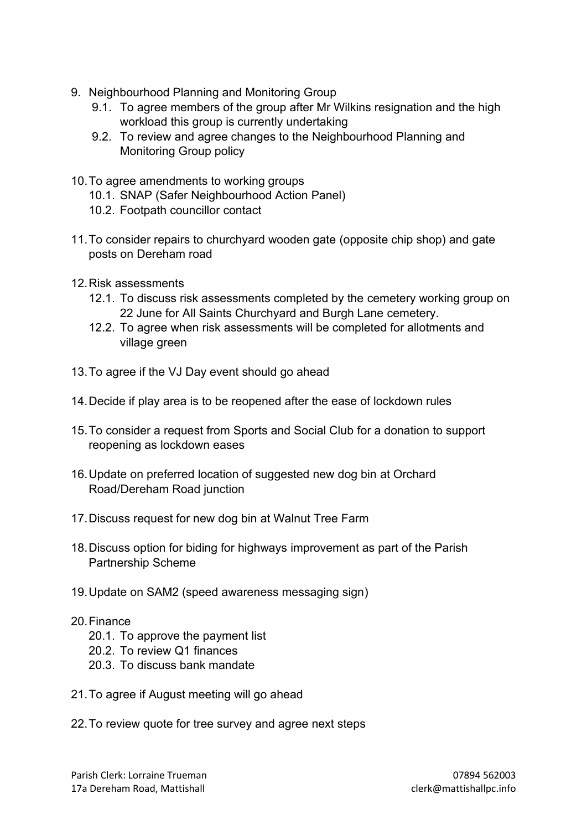- 9. Neighbourhood Planning and Monitoring Group
	- 9.1. To agree members of the group after Mr Wilkins resignation and the high workload this group is currently undertaking
	- 9.2. To review and agree changes to the Neighbourhood Planning and Monitoring Group policy
- 10.To agree amendments to working groups
	- 10.1. SNAP (Safer Neighbourhood Action Panel)
	- 10.2. Footpath councillor contact
- 11.To consider repairs to churchyard wooden gate (opposite chip shop) and gate posts on Dereham road
- 12.Risk assessments
	- 12.1. To discuss risk assessments completed by the cemetery working group on 22 June for All Saints Churchyard and Burgh Lane cemetery.
	- 12.2. To agree when risk assessments will be completed for allotments and village green
- 13.To agree if the VJ Day event should go ahead
- 14.Decide if play area is to be reopened after the ease of lockdown rules
- 15.To consider a request from Sports and Social Club for a donation to support reopening as lockdown eases
- 16.Update on preferred location of suggested new dog bin at Orchard Road/Dereham Road junction
- 17.Discuss request for new dog bin at Walnut Tree Farm
- 18.Discuss option for biding for highways improvement as part of the Parish Partnership Scheme
- 19.Update on SAM2 (speed awareness messaging sign)

## 20.Finance

- 20.1. To approve the payment list
- 20.2. To review Q1 finances
- 20.3. To discuss bank mandate
- 21.To agree if August meeting will go ahead
- 22.To review quote for tree survey and agree next steps